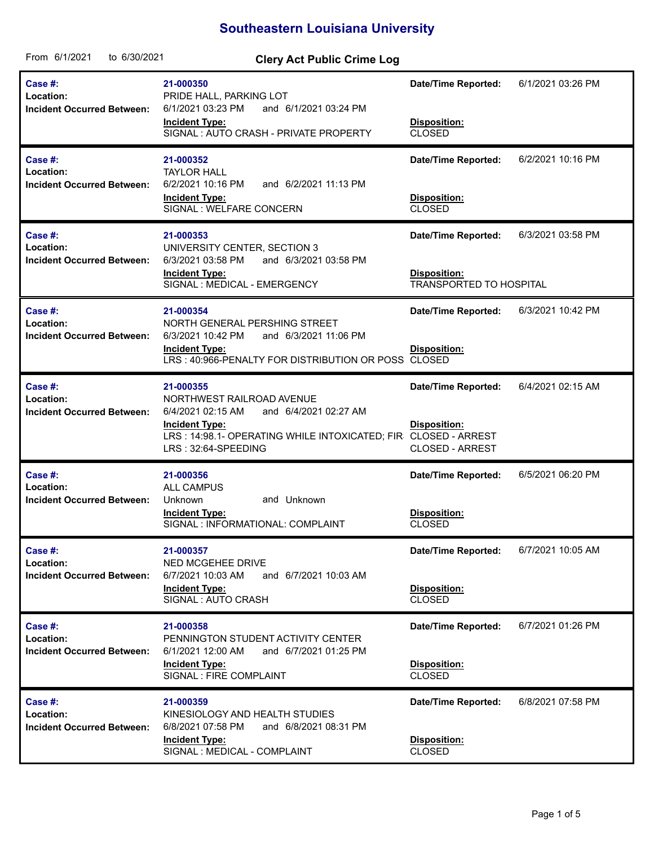## **Southeastern Louisiana University**

| From 6/1/2021<br>to 6/30/2021                             | <b>Clery Act Public Crime Log</b>                                                                                                                                                                      |                                                                             |                   |
|-----------------------------------------------------------|--------------------------------------------------------------------------------------------------------------------------------------------------------------------------------------------------------|-----------------------------------------------------------------------------|-------------------|
| Case #:<br>Location:<br><b>Incident Occurred Between:</b> | 21-000350<br>PRIDE HALL, PARKING LOT<br>6/1/2021 03:23 PM<br>and 6/1/2021 03:24 PM<br><b>Incident Type:</b><br>SIGNAL: AUTO CRASH - PRIVATE PROPERTY                                                   | <b>Date/Time Reported:</b><br>Disposition:<br><b>CLOSED</b>                 | 6/1/2021 03:26 PM |
| Case #:<br>Location:<br><b>Incident Occurred Between:</b> | 21-000352<br><b>TAYLOR HALL</b><br>and 6/2/2021 11:13 PM<br>6/2/2021 10:16 PM<br><b>Incident Type:</b><br>SIGNAL : WELFARE CONCERN                                                                     | <b>Date/Time Reported:</b><br>Disposition:<br><b>CLOSED</b>                 | 6/2/2021 10:16 PM |
| Case #:<br>Location:<br><b>Incident Occurred Between:</b> | 21-000353<br>UNIVERSITY CENTER, SECTION 3<br>6/3/2021 03:58 PM<br>and 6/3/2021 03:58 PM<br><b>Incident Type:</b><br>SIGNAL : MEDICAL - EMERGENCY                                                       | <b>Date/Time Reported:</b><br>Disposition:<br>TRANSPORTED TO HOSPITAL       | 6/3/2021 03:58 PM |
| Case #:<br>Location:<br><b>Incident Occurred Between:</b> | 21-000354<br>NORTH GENERAL PERSHING STREET<br>6/3/2021 10:42 PM<br>and 6/3/2021 11:06 PM<br><b>Incident Type:</b><br>LRS: 40:966-PENALTY FOR DISTRIBUTION OR POSS                                      | <b>Date/Time Reported:</b><br>Disposition:<br><b>CLOSED</b>                 | 6/3/2021 10:42 PM |
| Case #:<br>Location:<br><b>Incident Occurred Between:</b> | 21-000355<br>NORTHWEST RAILROAD AVENUE<br>and 6/4/2021 02:27 AM<br>6/4/2021 02:15 AM<br><b>Incident Type:</b><br>LRS: 14:98.1- OPERATING WHILE INTOXICATED; FIR CLOSED - ARREST<br>LRS: 32:64-SPEEDING | <b>Date/Time Reported:</b><br><b>Disposition:</b><br><b>CLOSED - ARREST</b> | 6/4/2021 02:15 AM |
| Case #:<br>Location:<br><b>Incident Occurred Between:</b> | 21-000356<br><b>ALL CAMPUS</b><br>and Unknown<br>Unknown<br><b>Incident Type:</b><br>SIGNAL : INFORMATIONAL: COMPLAINT                                                                                 | <b>Date/Time Reported:</b><br>Disposition:<br><b>CLOSED</b>                 | 6/5/2021 06:20 PM |
| Case #:<br>Location:<br><b>Incident Occurred Between:</b> | 21-000357<br>NED MCGEHEE DRIVE<br>6/7/2021 10:03 AM<br>and 6/7/2021 10:03 AM<br><b>Incident Type:</b><br>SIGNAL: AUTO CRASH                                                                            | <b>Date/Time Reported:</b><br>Disposition:<br><b>CLOSED</b>                 | 6/7/2021 10:05 AM |
| Case #:<br>Location:<br><b>Incident Occurred Between:</b> | 21-000358<br>PENNINGTON STUDENT ACTIVITY CENTER<br>6/1/2021 12:00 AM<br>and 6/7/2021 01:25 PM<br><b>Incident Type:</b><br>SIGNAL : FIRE COMPLAINT                                                      | <b>Date/Time Reported:</b><br>Disposition:<br><b>CLOSED</b>                 | 6/7/2021 01:26 PM |
| Case #:<br>Location:<br><b>Incident Occurred Between:</b> | 21-000359<br>KINESIOLOGY AND HEALTH STUDIES<br>6/8/2021 07:58 PM<br>and 6/8/2021 08:31 PM<br><b>Incident Type:</b><br>SIGNAL : MEDICAL - COMPLAINT                                                     | <b>Date/Time Reported:</b><br>Disposition:<br><b>CLOSED</b>                 | 6/8/2021 07:58 PM |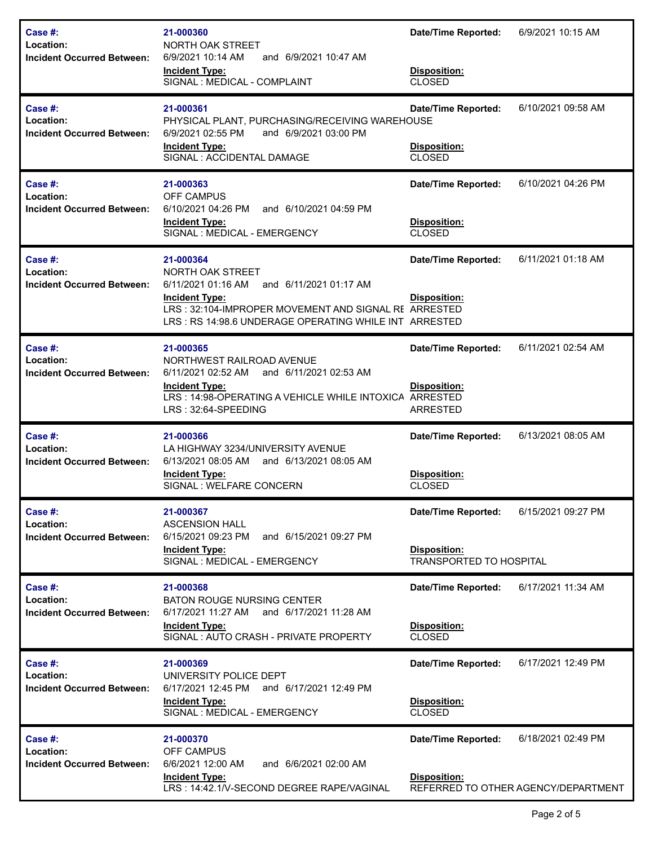| Case #:<br>Location:<br><b>Incident Occurred Between:</b>    | 21-000360<br>NORTH OAK STREET<br>6/9/2021 10:14 AM<br>and 6/9/2021 10:47 AM<br><b>Incident Type:</b><br>SIGNAL : MEDICAL - COMPLAINT                                                                                    | <b>Date/Time Reported:</b><br>Disposition:<br><b>CLOSED</b>                         | 6/9/2021 10:15 AM                                         |
|--------------------------------------------------------------|-------------------------------------------------------------------------------------------------------------------------------------------------------------------------------------------------------------------------|-------------------------------------------------------------------------------------|-----------------------------------------------------------|
| Case $#$ :<br>Location:<br><b>Incident Occurred Between:</b> | 21-000361<br>PHYSICAL PLANT, PURCHASING/RECEIVING WAREHOUSE<br>6/9/2021 02:55 PM<br>and 6/9/2021 03:00 PM<br><b>Incident Type:</b><br>SIGNAL : ACCIDENTAL DAMAGE                                                        | <b>Date/Time Reported:</b><br>Disposition:<br><b>CLOSED</b>                         | 6/10/2021 09:58 AM                                        |
| Case #:<br>Location:<br><b>Incident Occurred Between:</b>    | 21-000363<br><b>OFF CAMPUS</b><br>6/10/2021 04:26 PM<br>and 6/10/2021 04:59 PM<br><b>Incident Type:</b><br>SIGNAL : MEDICAL - EMERGENCY                                                                                 | <b>Date/Time Reported:</b><br>Disposition:<br><b>CLOSED</b>                         | 6/10/2021 04:26 PM                                        |
| Case #:<br>Location:<br><b>Incident Occurred Between:</b>    | 21-000364<br>NORTH OAK STREET<br>6/11/2021 01:16 AM<br>and 6/11/2021 01:17 AM<br><b>Incident Type:</b><br>LRS: 32:104-IMPROPER MOVEMENT AND SIGNAL RE ARRESTED<br>LRS: RS 14:98.6 UNDERAGE OPERATING WHILE INT ARRESTED | <b>Date/Time Reported:</b><br>Disposition:                                          | 6/11/2021 01:18 AM                                        |
| Case #:<br>Location:<br><b>Incident Occurred Between:</b>    | 21-000365<br>NORTHWEST RAILROAD AVENUE<br>6/11/2021 02:52 AM<br>and 6/11/2021 02:53 AM<br><b>Incident Type:</b><br>LRS: 14:98-OPERATING A VEHICLE WHILE INTOXICA ARRESTED<br>LRS: 32:64-SPEEDING                        | <b>Date/Time Reported:</b><br><b>Disposition:</b><br><b>ARRESTED</b>                | 6/11/2021 02:54 AM                                        |
| Case  #:<br>Location:<br><b>Incident Occurred Between:</b>   | 21-000366<br>LA HIGHWAY 3234/UNIVERSITY AVENUE<br>6/13/2021 08:05 AM<br>and 6/13/2021 08:05 AM<br><b>Incident Type:</b><br>SIGNAL : WELFARE CONCERN                                                                     | <b>Date/Time Reported:</b><br>Disposition:<br><b>CLOSED</b>                         | 6/13/2021 08:05 AM                                        |
| Case #:<br>Location:<br><b>Incident Occurred Between:</b>    | 21-000367<br><b>ASCENSION HALL</b><br>6/15/2021 09:23 PM<br>and 6/15/2021 09:27 PM<br><b>Incident Type:</b><br>SIGNAL : MEDICAL - EMERGENCY                                                                             | <b>Date/Time Reported:</b><br><b>Disposition:</b><br><b>TRANSPORTED TO HOSPITAL</b> | 6/15/2021 09:27 PM                                        |
| Case $#$ :<br>Location:<br><b>Incident Occurred Between:</b> | 21-000368<br><b>BATON ROUGE NURSING CENTER</b><br>and 6/17/2021 11:28 AM<br>6/17/2021 11:27 AM<br><b>Incident Type:</b><br>SIGNAL: AUTO CRASH - PRIVATE PROPERTY                                                        | Date/Time Reported:<br>Disposition:<br><b>CLOSED</b>                                | 6/17/2021 11:34 AM                                        |
| Case #:<br>Location:<br><b>Incident Occurred Between:</b>    | 21-000369<br>UNIVERSITY POLICE DEPT<br>6/17/2021 12:45 PM<br>and 6/17/2021 12:49 PM<br><b>Incident Type:</b><br>SIGNAL : MEDICAL - EMERGENCY                                                                            | <b>Date/Time Reported:</b><br>Disposition:<br><b>CLOSED</b>                         | 6/17/2021 12:49 PM                                        |
| Case #:<br>Location:<br><b>Incident Occurred Between:</b>    | 21-000370<br><b>OFF CAMPUS</b><br>6/6/2021 12:00 AM<br>and 6/6/2021 02:00 AM<br><b>Incident Type:</b><br>LRS: 14:42.1/V-SECOND DEGREE RAPE/VAGINAL                                                                      | <b>Date/Time Reported:</b><br><b>Disposition:</b>                                   | 6/18/2021 02:49 PM<br>REFERRED TO OTHER AGENCY/DEPARTMENT |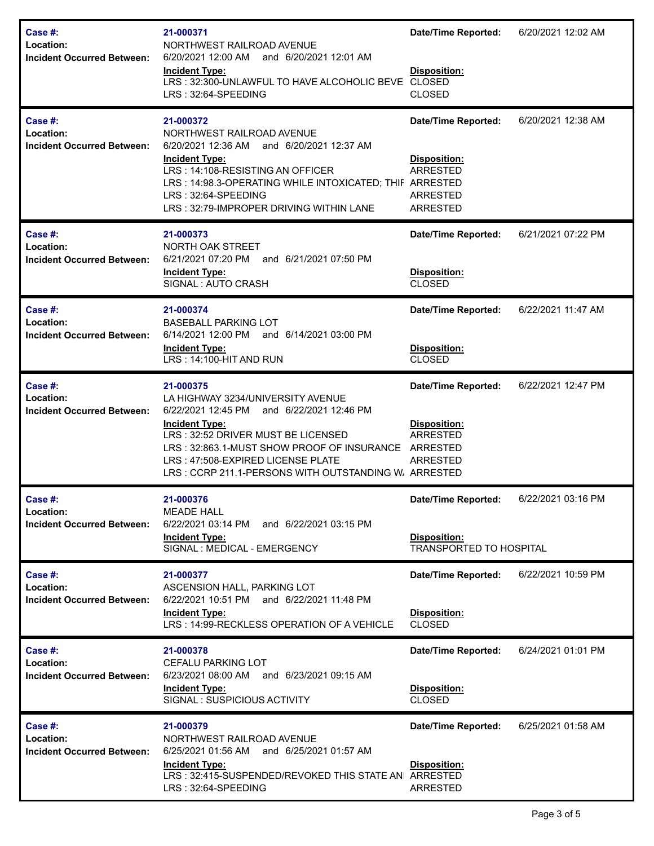| Case #:<br>Location:<br><b>Incident Occurred Between:</b>    | 21-000371<br>NORTHWEST RAILROAD AVENUE<br>6/20/2021 12:00 AM and 6/20/2021 12:01 AM<br><b>Incident Type:</b><br>LRS: 32:300-UNLAWFUL TO HAVE ALCOHOLIC BEVE CLOSED<br>LRS: 32:64-SPEEDING                                                                                                                         | <b>Date/Time Reported:</b><br>Disposition:<br><b>CLOSED</b>                                         | 6/20/2021 12:02 AM |
|--------------------------------------------------------------|-------------------------------------------------------------------------------------------------------------------------------------------------------------------------------------------------------------------------------------------------------------------------------------------------------------------|-----------------------------------------------------------------------------------------------------|--------------------|
| Case $#$ :<br>Location:<br><b>Incident Occurred Between:</b> | 21-000372<br>NORTHWEST RAILROAD AVENUE<br>6/20/2021 12:36 AM<br>and 6/20/2021 12:37 AM<br><b>Incident Type:</b><br>LRS: 14:108-RESISTING AN OFFICER<br>LRS: 14:98.3-OPERATING WHILE INTOXICATED; THIF ARRESTED<br>LRS: 32:64-SPEEDING<br>LRS: 32:79-IMPROPER DRIVING WITHIN LANE                                  | <b>Date/Time Reported:</b><br>Disposition:<br><b>ARRESTED</b><br><b>ARRESTED</b><br><b>ARRESTED</b> | 6/20/2021 12:38 AM |
| Case #:<br>Location:<br><b>Incident Occurred Between:</b>    | 21-000373<br>NORTH OAK STREET<br>6/21/2021 07:20 PM<br>and 6/21/2021 07:50 PM<br><b>Incident Type:</b><br>SIGNAL: AUTO CRASH                                                                                                                                                                                      | <b>Date/Time Reported:</b><br>Disposition:<br><b>CLOSED</b>                                         | 6/21/2021 07:22 PM |
| Case #:<br>Location:<br><b>Incident Occurred Between:</b>    | 21-000374<br><b>BASEBALL PARKING LOT</b><br>6/14/2021 12:00 PM<br>and 6/14/2021 03:00 PM<br><b>Incident Type:</b><br>LRS: 14:100-HIT AND RUN                                                                                                                                                                      | <b>Date/Time Reported:</b><br>Disposition:<br><b>CLOSED</b>                                         | 6/22/2021 11:47 AM |
| Case #:<br>Location:<br><b>Incident Occurred Between:</b>    | 21-000375<br>LA HIGHWAY 3234/UNIVERSITY AVENUE<br>6/22/2021 12:45 PM<br>and 6/22/2021 12:46 PM<br><b>Incident Type:</b><br>LRS: 32:52 DRIVER MUST BE LICENSED<br>LRS: 32:863.1-MUST SHOW PROOF OF INSURANCE ARRESTED<br>LRS: 47:508-EXPIRED LICENSE PLATE<br>LRS: CCRP 211.1-PERSONS WITH OUTSTANDING W. ARRESTED | <b>Date/Time Reported:</b><br>Disposition:<br><b>ARRESTED</b><br><b>ARRESTED</b>                    | 6/22/2021 12:47 PM |
| Case #:<br>Location:<br><b>Incident Occurred Between:</b>    | 21-000376<br><b>MEADE HALL</b><br>6/22/2021 03:14 PM<br>and 6/22/2021 03:15 PM<br><b>Incident Type:</b><br>SIGNAL : MEDICAL - EMERGENCY                                                                                                                                                                           | <b>Date/Time Reported:</b><br><b>Disposition:</b><br><b>TRANSPORTED TO HOSPITAL</b>                 | 6/22/2021 03:16 PM |
| Case #:<br>Location:<br><b>Incident Occurred Between:</b>    | 21-000377<br>ASCENSION HALL, PARKING LOT<br>6/22/2021 10:51 PM and 6/22/2021 11:48 PM<br><b>Incident Type:</b><br>LRS: 14:99-RECKLESS OPERATION OF A VEHICLE                                                                                                                                                      | <b>Date/Time Reported:</b><br>Disposition:<br><b>CLOSED</b>                                         | 6/22/2021 10:59 PM |
| Case #:<br>Location:<br><b>Incident Occurred Between:</b>    | 21-000378<br><b>CEFALU PARKING LOT</b><br>6/23/2021 08:00 AM<br>and 6/23/2021 09:15 AM<br><b>Incident Type:</b><br>SIGNAL: SUSPICIOUS ACTIVITY                                                                                                                                                                    | <b>Date/Time Reported:</b><br>Disposition:<br><b>CLOSED</b>                                         | 6/24/2021 01:01 PM |
| Case #:<br>Location:<br><b>Incident Occurred Between:</b>    | 21-000379<br>NORTHWEST RAILROAD AVENUE<br>6/25/2021 01:56 AM and 6/25/2021 01:57 AM<br><b>Incident Type:</b><br>LRS: 32:415-SUSPENDED/REVOKED THIS STATE AN ARRESTED<br>LRS: 32:64-SPEEDING                                                                                                                       | <b>Date/Time Reported:</b><br><b>Disposition:</b><br><b>ARRESTED</b>                                | 6/25/2021 01:58 AM |